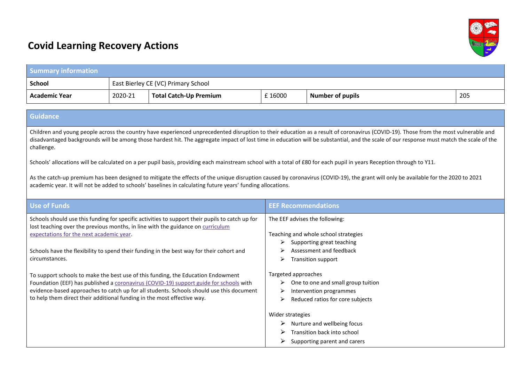

## **Covid Learning Recovery Actions**

| <b>Summary information</b>                                                                                                                                                                                                                                                                                                                                                                                                                                                                                                                                                                                                                                                                                                                                                                                                                                                 |         |                                     |                                                                                                                                                                                                                                                                                                                                   |                                                                                                             |     |  |  |
|----------------------------------------------------------------------------------------------------------------------------------------------------------------------------------------------------------------------------------------------------------------------------------------------------------------------------------------------------------------------------------------------------------------------------------------------------------------------------------------------------------------------------------------------------------------------------------------------------------------------------------------------------------------------------------------------------------------------------------------------------------------------------------------------------------------------------------------------------------------------------|---------|-------------------------------------|-----------------------------------------------------------------------------------------------------------------------------------------------------------------------------------------------------------------------------------------------------------------------------------------------------------------------------------|-------------------------------------------------------------------------------------------------------------|-----|--|--|
| <b>School</b>                                                                                                                                                                                                                                                                                                                                                                                                                                                                                                                                                                                                                                                                                                                                                                                                                                                              |         | East Bierley CE (VC) Primary School |                                                                                                                                                                                                                                                                                                                                   |                                                                                                             |     |  |  |
| <b>Academic Year</b>                                                                                                                                                                                                                                                                                                                                                                                                                                                                                                                                                                                                                                                                                                                                                                                                                                                       | 2020-21 | <b>Total Catch-Up Premium</b>       | £16000                                                                                                                                                                                                                                                                                                                            | <b>Number of pupils</b>                                                                                     | 205 |  |  |
|                                                                                                                                                                                                                                                                                                                                                                                                                                                                                                                                                                                                                                                                                                                                                                                                                                                                            |         |                                     |                                                                                                                                                                                                                                                                                                                                   |                                                                                                             |     |  |  |
| <b>Guidance</b>                                                                                                                                                                                                                                                                                                                                                                                                                                                                                                                                                                                                                                                                                                                                                                                                                                                            |         |                                     |                                                                                                                                                                                                                                                                                                                                   |                                                                                                             |     |  |  |
| Children and young people across the country have experienced unprecedented disruption to their education as a result of coronavirus (COVID-19). Those from the most vulnerable and<br>disadvantaged backgrounds will be among those hardest hit. The aggregate impact of lost time in education will be substantial, and the scale of our response must match the scale of the<br>challenge.<br>Schools' allocations will be calculated on a per pupil basis, providing each mainstream school with a total of £80 for each pupil in years Reception through to Y11.<br>As the catch-up premium has been designed to mitigate the effects of the unique disruption caused by coronavirus (COVID-19), the grant will only be available for the 2020 to 2021<br>academic year. It will not be added to schools' baselines in calculating future years' funding allocations. |         |                                     |                                                                                                                                                                                                                                                                                                                                   |                                                                                                             |     |  |  |
| <b>Use of Funds</b>                                                                                                                                                                                                                                                                                                                                                                                                                                                                                                                                                                                                                                                                                                                                                                                                                                                        |         |                                     | <b>EEF Recommendations</b>                                                                                                                                                                                                                                                                                                        |                                                                                                             |     |  |  |
| Schools should use this funding for specific activities to support their pupils to catch up for<br>lost teaching over the previous months, in line with the guidance on curriculum<br>expectations for the next academic year.<br>Schools have the flexibility to spend their funding in the best way for their cohort and<br>circumstances.<br>To support schools to make the best use of this funding, the Education Endowment<br>Foundation (EEF) has published a coronavirus (COVID-19) support guide for schools with<br>evidence-based approaches to catch up for all students. Schools should use this document<br>to help them direct their additional funding in the most effective way.                                                                                                                                                                          |         |                                     | The EEF advises the following:<br>Teaching and whole school strategies<br>$\triangleright$ Supporting great teaching<br>Assessment and feedback<br>Transition support<br>⋗<br>Targeted approaches<br>$\triangleright$ One to one and small group tuition<br>Intervention programmes<br>➤<br>Reduced ratios for core subjects<br>⋗ |                                                                                                             |     |  |  |
|                                                                                                                                                                                                                                                                                                                                                                                                                                                                                                                                                                                                                                                                                                                                                                                                                                                                            |         |                                     | Wider strategies<br>➤<br>⋗                                                                                                                                                                                                                                                                                                        | Nurture and wellbeing focus<br>Transition back into school<br>$\triangleright$ Supporting parent and carers |     |  |  |